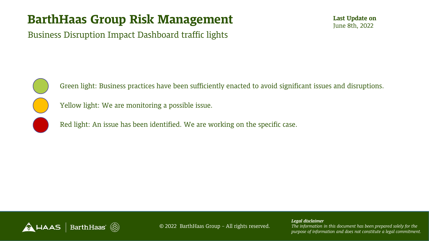Business Disruption Impact Dashboard traffic lights



Green light: Business practices have been sufficiently enacted to avoid significant issues and disruptions.

Yellow light: We are monitoring a possible issue.

Red light: An issue has been identified. We are working on the specific case.

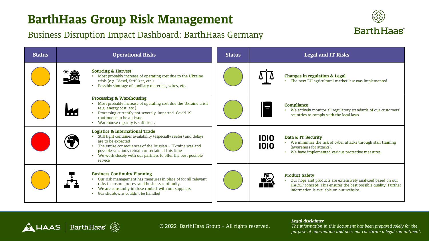### Business Disruption Impact Dashboard: BarthHaas Germany



| <b>Status</b> | <b>Operational Risks</b>                                                                                                                                                                                                                                                                                                         | <b>Status</b> | <b>Legal and IT Risks</b>                                                                                                                                                                          |
|---------------|----------------------------------------------------------------------------------------------------------------------------------------------------------------------------------------------------------------------------------------------------------------------------------------------------------------------------------|---------------|----------------------------------------------------------------------------------------------------------------------------------------------------------------------------------------------------|
|               | <b>Sourcing &amp; Harvest</b><br>• Most probably increase of operating cost due to the Ukraine<br>crisis (e.g. Diesel, fertilizer, etc.)<br>Possibly shortage of auxiliary materials, wires, etc.                                                                                                                                |               | <b>Changes in regulation &amp; Legal</b><br>The new EU agricultural market law was implemented.                                                                                                    |
|               | <b>Processing &amp; Warehousing</b><br>Most probably increase of operating cost due the Ukraine crisis<br>(e.g. energy cost, etc.)<br>• Processing currently not severely impacted. Covid-19<br>continuous to be an issue.<br>Warehouse capacity is sufficient.                                                                  |               | <b>Compliance</b><br>• We actively monitor all regulatory standards of our customers'<br>countries to comply with the local laws.                                                                  |
|               | <b>Logistics &amp; International Trade</b><br>Still tight container availability (especially reefer) and delays<br>are to be expected<br>The entire consequences of the Russian - Ukraine war and<br>possible sanctions remain uncertain at this time<br>We work closely with our partners to offer the best possible<br>service |               | 1010<br>Data & IT Security<br>• We minimize the risk of cyber attacks through staff training<br>1010<br>(awareness for attacks).<br>We have implemented various protective measures.               |
|               | <b>Business Continuity Planning</b><br>Our risk management has measures in place of for all relevant<br>risks to ensure process and business continuity.<br>We are constantly in close contact with our suppliers<br>Gas shutdowns couldn't be handled                                                                           |               | <b>Product Safety</b><br>Our hops and products are extensively analyzed based on our<br>HACCP concept. This ensures the best possible quality. Further<br>information is available on our website. |

 $\bigwedge$  HAAS | BarthHaas  $\textcircled{\tiny{\textcircled{\tiny{\textcirc}}}}$ 

#### © 2022 BarthHaas Group – All rights reserved.

#### *Legal disclaimer*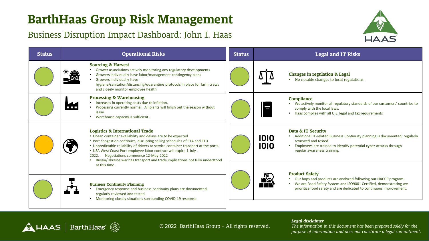### Business Disruption Impact Dashboard: John I. Haas

 $\bigwedge$  HAAS | BarthHaas  $\textcircled{\tiny{\textcircled{\tiny{\textcirc}}}}$ 



| <b>Status</b> | <b>Operational Risks</b>                                                                                                                                                                                                                                                                                                                                                                                                                                                                           | <b>Status</b> | <b>Legal and IT Risks</b>                                                                                                                                                                                                                                 |
|---------------|----------------------------------------------------------------------------------------------------------------------------------------------------------------------------------------------------------------------------------------------------------------------------------------------------------------------------------------------------------------------------------------------------------------------------------------------------------------------------------------------------|---------------|-----------------------------------------------------------------------------------------------------------------------------------------------------------------------------------------------------------------------------------------------------------|
|               | <b>Sourcing &amp; Harvest</b><br>Grower associations actively monitoring any regulatory developments<br>美食<br>Growers individually have labor/management contingency plans<br>Growers individually have<br>hygiene/sanitation/distancing/quarantine protocols in place for farm crews<br>and closely monitor employee health                                                                                                                                                                       |               | <b>Changes in regulation &amp; Legal</b><br>No notable changes to local regulations.                                                                                                                                                                      |
|               | <b>Processing &amp; Warehousing</b><br>Increases in operating costs due to inflation.<br>Processing currently normal. All plants will finish out the season without<br>issue.<br>Warehouse capacity is sufficient.                                                                                                                                                                                                                                                                                 |               | <b>Compliance</b><br>• We actively monitor all regulatory standards of our customers' countries to<br>comply with the local laws.<br>Haas complies with all U.S. legal and tax requirements                                                               |
|               | <b>Logistics &amp; International Trade</b><br>• Ocean container availability and delays are to be expected<br>• Port congestion continues, disrupting sailing schedules of ETA and ETD.<br>• Unpredictable reliability of drivers to service container transport at the ports.<br>• USA West Coast Port employee labor contract will expire 1-July-<br>Negotiations commence 12-May-2022<br>2022.<br>Russia/Ukraine war has transport and trade implications not fully understood<br>at this time. |               | Data & IT Security<br>Additional IT-related Business Continuity planning is documented, regularly<br>1010<br>reviewed and tested.<br>1010<br>Employees are trained to identify potential cyber-attacks through<br>regular awareness training.             |
|               | <b>Business Continuity Planning</b><br>Emergency response and business continuity plans are documented,<br>regularly reviewed and tested.<br>Monitoring closely situations surrounding COVID-19 response.                                                                                                                                                                                                                                                                                          |               | <b>Product Safety</b><br>de 19<br>11 de 19<br>Our hops and products are analyzed following our HACCP program.<br>We are Food Safety System and ISO9001 Certified, demonstrating we<br>prioritize food safety and are dedicated to continuous improvement. |

© 2022 BarthHaas Group – All rights reserved.

*Legal disclaimer*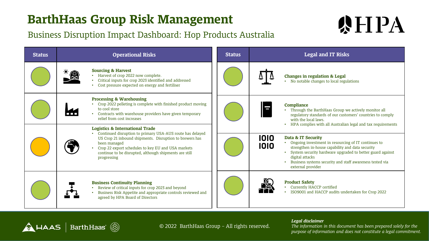A HAAS | BarthHaas (

### Business Disruption Impact Dashboard: Hop Products Australia

# **WHPA**

| <b>Status</b> | <b>Operational Risks</b>                                                                                                                                                                                                                                                                                          | <b>Status</b> | <b>Legal and IT Risks</b>                                                                                                                                                                                                                                                                                        |
|---------------|-------------------------------------------------------------------------------------------------------------------------------------------------------------------------------------------------------------------------------------------------------------------------------------------------------------------|---------------|------------------------------------------------------------------------------------------------------------------------------------------------------------------------------------------------------------------------------------------------------------------------------------------------------------------|
|               | <b>Sourcing &amp; Harvest</b><br>Harvest of crop 2022 now complete.<br>Critical inputs for crop 2023 identified and addressed<br>Cost pressure expected on energy and fertiliser                                                                                                                                  |               | <b>Changes in regulation &amp; Legal</b><br>No notable changes to local regulations                                                                                                                                                                                                                              |
|               | <b>Processing &amp; Warehousing</b><br>Crop 2022 pelleting is complete with finished product moving<br>to cool store<br>• Contracts with warehouse providers have given temporary<br>relief from cost increases                                                                                                   |               | Compliance<br>Through the BarthHaas Group we actively monitor all<br>regulatory standards of our customers' countries to comply<br>with the local laws.<br>HPA complies with all Australian legal and tax requirements                                                                                           |
|               | <b>Logistics &amp; International Trade</b><br>Continued disruption to primary USA-AUS route has delayed<br>US Crop 21 inbound shipments. Disruption to brewers has<br>been managed<br>Crop 22 export schedules to key EU and USA markets<br>continue to be disrupted, although shipments are still<br>progressing |               | 1010<br>Data & IT Security<br>• Ongoing investment in resourcing of IT continues to<br>1010<br>strengthen in-house capability and data security<br>System security hardware upgraded to better guard against<br>digital attacks<br>Business systems security and staff awareness tested via<br>external provider |
|               | <b>Business Continuity Planning</b><br>Review of critical inputs for crop 2023 and beyond<br>Business Risk Appetite and appropriate controls reviewed and<br>agreed by HPA Board of Directors                                                                                                                     |               | <b>Product Safety</b><br>Currently HACCP certified<br>ISO9001 and HACCP audits undertaken for Crop 2022                                                                                                                                                                                                          |

© 2022 BarthHaas Group – All rights reserved.

#### *Legal disclaimer*